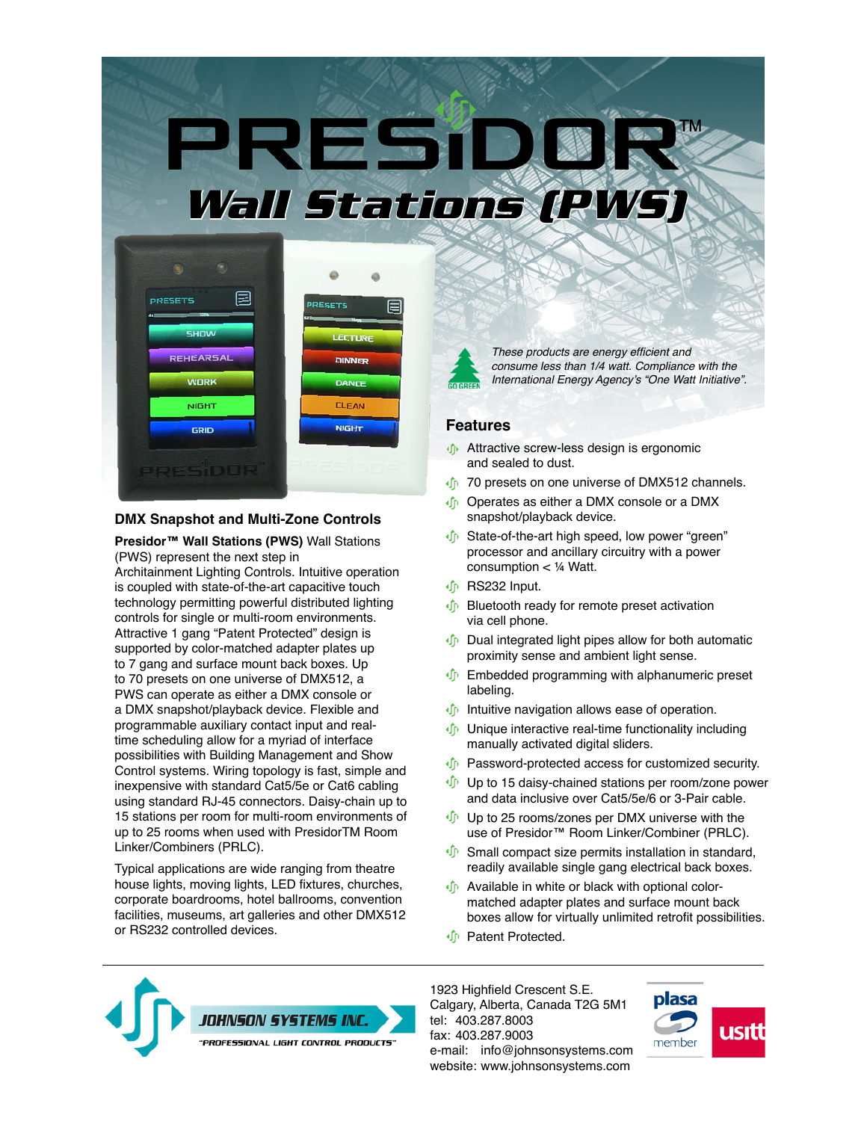# PREST **Wall Stations (PWS)**



#### **DMX Snapshot and Multi-Zone Controls**

**Presidor™ Wall Stations (PWS)** Wall Stations (PWS) represent the next step in

Architainment Lighting Controls. Intuitive operation is coupled with state-of-the-art capacitive touch technology permitting powerful distributed lighting controls for single or multi-room environments. Attractive 1 gang "Patent Protected" design is supported by color-matched adapter plates up to 7 gang and surface mount back boxes. Up to 70 presets on one universe of DMX512, a PWS can operate as either a DMX console or a DMX snapshot/playback device. Flexible and programmable auxiliary contact input and realtime scheduling allow for a myriad of interface possibilities with Building Management and Show Control systems. Wiring topology is fast, simple and inexpensive with standard Cat5/5e or Cat6 cabling using standard RJ-45 connectors. Daisy-chain up to 15 stations per room for multi-room environments of up to 25 rooms when used with PresidorTM Room Linker/Combiners (PRLC).

Typical applications are wide ranging from theatre house lights, moving lights, LED fixtures, churches, corporate boardrooms, hotel ballrooms, convention facilities, museums, art galleries and other DMX512 or RS232 controlled devices.



These products are energy efficient and consume less than 1/4 watt. Compliance with the International Energy Agency's "One Watt Initiative".

#### **Features**

- Attractive screw-less design is ergonomic and sealed to dust.
- **T** 70 presets on one universe of DMX512 channels.
- *I* Operates as either a DMX console or a DMX snapshot/playback device.
- **I** State-of-the-art high speed, low power "green" processor and ancillary circuitry with a power consumption < ¼ Watt.
- RS232 Input.
- **D** Bluetooth ready for remote preset activation via cell phone.
- **Dual integrated light pipes allow for both automatic** proximity sense and ambient light sense.
- **I** Embedded programming with alphanumeric preset labeling.
- **Intuitive navigation allows ease of operation.**
- **Unique interactive real-time functionality including** manually activated digital sliders.
- **D** Password-protected access for customized security.
- $\oint$  Up to 15 daisy-chained stations per room/zone power and data inclusive over Cat5/5e/6 or 3-Pair cable.
- **Up to 25 rooms/zones per DMX universe with the** use of Presidor™ Room Linker/Combiner (PRLC).
- $\oint$  Small compact size permits installation in standard, readily available single gang electrical back boxes.
- **I** Available in white or black with optional colormatched adapter plates and surface mount back boxes allow for virtually unlimited retrofit possibilities.
- *I* Patent Protected.



1923 Highfield Crescent S.E. Calgary, Alberta, Canada T2G 5M1 tel: 403.287.8003 fax: 403.287.9003 e-mail: [info@johnsonsystems.com](mailto:info@johnsonsystems.com) website: [www.johnsonsystems.com](http://www.johnsonsystems.com)

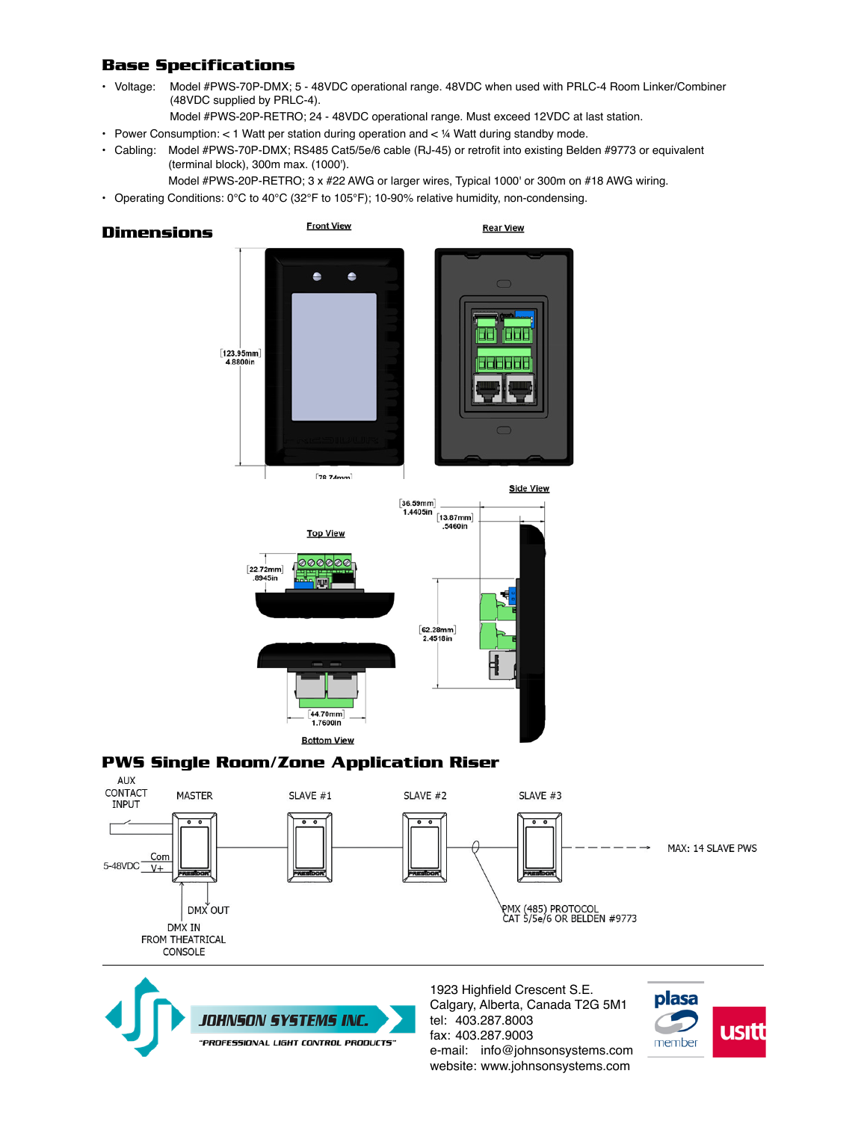# **Base Specifications**

- Voltage: Model #PWS-70P-DMX; 5 48VDC operational range. 48VDC when used with PRLC-4 Room Linker/Combiner (48VDC supplied by PRLC-4).
	- Model #PWS-20P-RETRO; 24 48VDC operational range. Must exceed 12VDC at last station.
- Power Consumption:  $< 1$  Watt per station during operation and  $< 4$  Watt during standby mode.
- Cabling: Model #PWS-70P-DMX; RS485 Cat5/5e/6 cable (RJ-45) or retrofit into existing Belden #9773 or equivalent (terminal block), 300m max. (1000').
	- Model #PWS-20P-RETRO; 3 x #22 AWG or larger wires, Typical 1000' or 300m on #18 AWG wiring.
- Operating Conditions: 0°C to 40°C (32°F to 105°F); 10-90% relative humidity, non-condensing.

**Dimensions**





## **PWS Single Room/Zone Application Riser**





1923 Highfield Crescent S.E. Calgary, Alberta, Canada T2G 5M1 tel: 403.287.8003 fax: 403.287.9003 e-mail: [info@johnsonsystems.com](mailto:info%40johnsonsystems.com?subject=) website: [www.johnsonsystems.com](http://www.johnsonsystems.com)